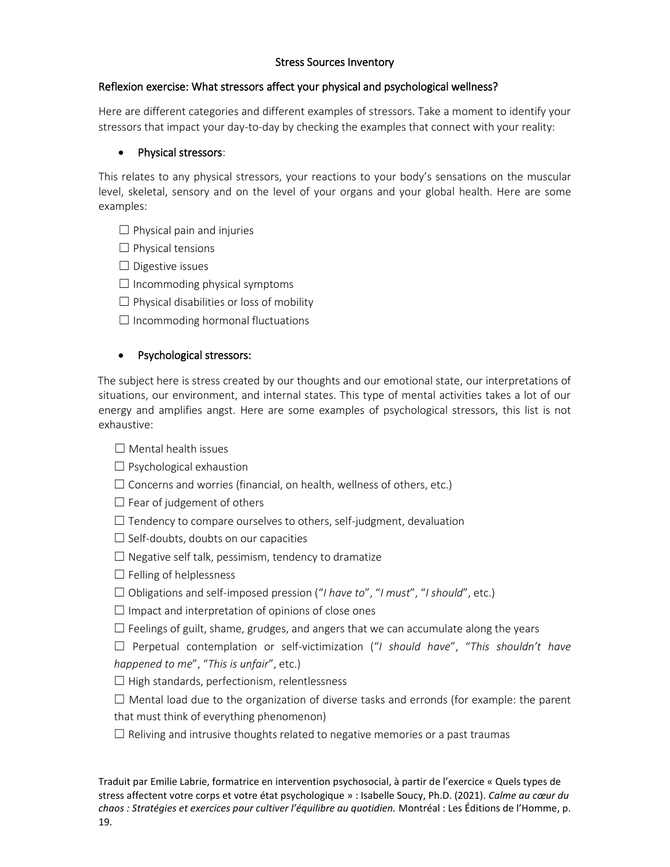# Stress Sources Inventory

### Reflexion exercise: What stressors affect your physical and psychological wellness?

Here are different categories and different examples of stressors. Take a moment to identify your stressors that impact your day-to-day by checking the examples that connect with your reality:

### • Physical stressors:

This relates to any physical stressors, your reactions to your body's sensations on the muscular level, skeletal, sensory and on the level of your organs and your global health. Here are some examples:

- $\Box$  Physical pain and injuries
- ☐ Physical tensions
- $\Box$  Digestive issues
- $\Box$  Incommoding physical symptoms
- $\Box$  Physical disabilities or loss of mobility
- $\Box$  Incommoding hormonal fluctuations

# • Psychological stressors:

The subject here is stress created by our thoughts and our emotional state, our interpretations of situations, our environment, and internal states. This type of mental activities takes a lot of our energy and amplifies angst. Here are some examples of psychological stressors, this list is not exhaustive:

### $\Box$  Mental health issues

- $\Box$  Psychological exhaustion
- $\Box$  Concerns and worries (financial, on health, wellness of others, etc.)
- $\Box$  Fear of judgement of others
- $\Box$  Tendency to compare ourselves to others, self-judgment, devaluation
- $\Box$  Self-doubts, doubts on our capacities
- $\Box$  Negative self talk, pessimism, tendency to dramatize
- $\Box$  Felling of helplessness
- ☐ Obligations and self-imposed pression ("*I have to*", "*I must*", "*I should*", etc.)
- $\Box$  Impact and interpretation of opinions of close ones
- $\Box$  Feelings of guilt, shame, grudges, and angers that we can accumulate along the years
- ☐ Perpetual contemplation or self-victimization ("*I should have*", "*This shouldn't have happened to me*", "*This is unfair*", etc.)
- $\Box$  High standards, perfectionism, relentlessness
- $\Box$  Mental load due to the organization of diverse tasks and erronds (for example: the parent that must think of everything phenomenon)
- $\Box$  Reliving and intrusive thoughts related to negative memories or a past traumas

Traduit par Emilie Labrie, formatrice en intervention psychosocial, à partir de l'exercice « Quels types de stress affectent votre corps et votre état psychologique » : Isabelle Soucy, Ph.D. (2021). *Calme au cœur du chaos : Stratégies et exercices pour cultiver l'équilibre au quotidien.* Montréal : Les Éditions de l'Homme, p.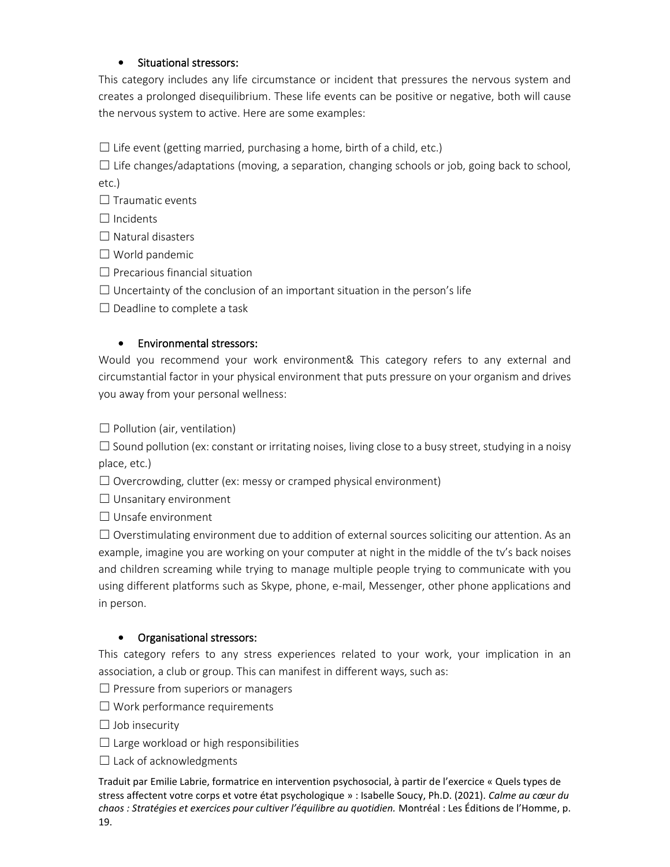# • Situational stressors:

This category includes any life circumstance or incident that pressures the nervous system and creates a prolonged disequilibrium. These life events can be positive or negative, both will cause the nervous system to active. Here are some examples:

 $\Box$  Life event (getting married, purchasing a home, birth of a child, etc.)

 $\Box$  Life changes/adaptations (moving, a separation, changing schools or job, going back to school, etc.)

 $\Box$  Traumatic events

 $\Box$  Incidents

☐ Natural disasters

☐ World pandemic

 $\Box$  Precarious financial situation

 $\Box$  Uncertainty of the conclusion of an important situation in the person's life

 $\Box$  Deadline to complete a task

### • Environmental stressors:

Would you recommend your work environment& This category refers to any external and circumstantial factor in your physical environment that puts pressure on your organism and drives you away from your personal wellness:

 $\Box$  Pollution (air, ventilation)

 $\square$  Sound pollution (ex: constant or irritating noises, living close to a busy street, studying in a noisy place, etc.)

 $\Box$  Overcrowding, clutter (ex: messy or cramped physical environment)

 $\Box$  Unsanitary environment

☐ Unsafe environment

 $\Box$  Overstimulating environment due to addition of external sources soliciting our attention. As an example, imagine you are working on your computer at night in the middle of the tv's back noises and children screaming while trying to manage multiple people trying to communicate with you using different platforms such as Skype, phone, e-mail, Messenger, other phone applications and in person.

### • Organisational stressors:

This category refers to any stress experiences related to your work, your implication in an association, a club or group. This can manifest in different ways, such as:

 $\Box$  Pressure from superiors or managers

 $\Box$  Work performance requirements

 $\Box$  Job insecurity

 $\Box$  Large workload or high responsibilities

 $\Box$  Lack of acknowledgments

Traduit par Emilie Labrie, formatrice en intervention psychosocial, à partir de l'exercice « Quels types de stress affectent votre corps et votre état psychologique » : Isabelle Soucy, Ph.D. (2021). *Calme au cœur du chaos : Stratégies et exercices pour cultiver l'équilibre au quotidien.* Montréal : Les Éditions de l'Homme, p. 19.